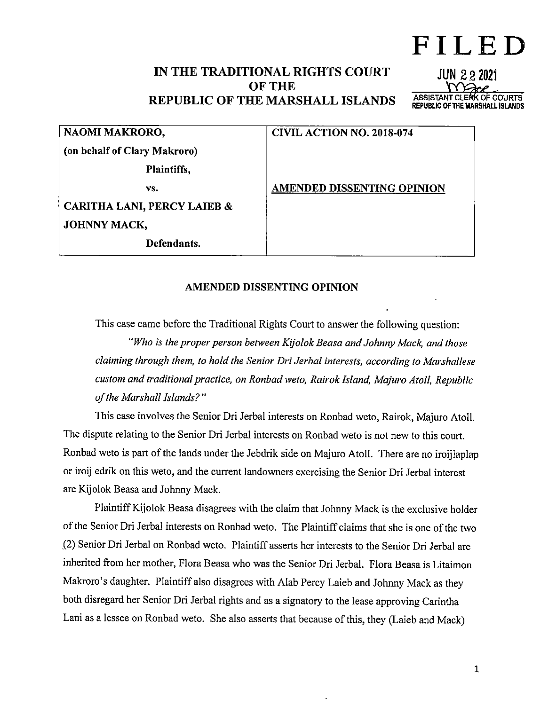# FILED

**JUN 222021** 

ASSISTANT CLERK OF COURTS REPUBLIC OF THE MARSHALL ISLANDS

# IN THE TRADITIONAL RIGHTS COURT OF THE REPUBLIC OF THE MARSHALL ISLANDS

(on behalf of Clary Makroro)

NAOMI MAKRORO, CIVIL ACTION NO. 2018-074

vs. AMENDED DISSENTING OPINION

Plaintiffs,

CARITHA LANI, PERCY LAIEB & JOHNNY MACK,

Defendants.

#### AMENDED DISSENTING OPINION

This case came before the Traditional Rights Court to answer the following question:

"Who is the proper person between Kijolok Beasa and Johnny Mack, and those claiming through them, to hold the Senior Dri Jerbal interests, according to Marshallese custom and traditional practice, on Ronbad weto, Rairok Island, Majuro Atoll, Republic of the Marshall Islands? "

This case involves the Senior Dri Jerbal interests on Ronbad weto, Rairok, Majuro Atoll. The dispute relating to the Senior Dri Jerbal interests on Ronbad weto is not new to this court. Ronbad weto is part of the lands under the Jebdrik side on Majuro Atoll. There are no iroijlaplap or iroij edrik on this weto, and the current landowners exercising the Senior Dri Jerbal interest are Kijolok Beasa and Johnny Mack.

Plaintiff Kijolok Beasa disagrees with the claim that Johnny Mack is the exclusive holder of the Senior Dri Jerbal interests on Ronbad weto. The Plaintiff claims that she is one of the two ,(2) Senior Dri Jerbal on Ronbad weto. Plaintiff asserts her interests to the Senior Dri Jerbal are inherited from her mother, Flora Beasa who was the Senior Dri Jerbal. Flora Beasa is Litaimon Makroro's daughter. Plaintiff also disagrees with Alab Percy Laieb and Johnny Mack as they both disregard her Senior Dri Jerbal rights and as a signatory to the lease approving Carintha Lani as a lessee on Ronbad weto. She also asserts that because of this, they (Laieb and Mack)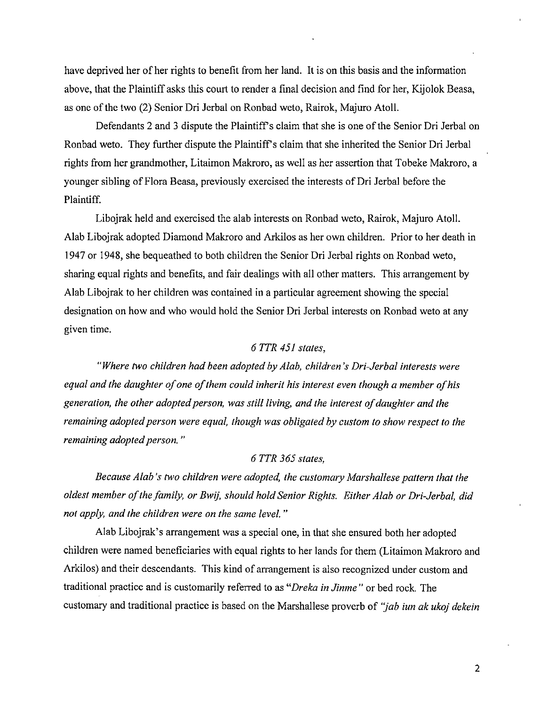have deprived her of her rights to benefit from her land. It is on this basis and the information above, that the Plaintiff asks this court to render a final decision and find for her, Kijolok Beasa, as one of the two (2) Senior Dri Jerbal on Ronbad weto, Rairok, Majuro Atoll.

Defendants 2 and 3 dispute the Plaintiff's claim that she is one of the Senior Dri Jerbal on Ronbad weto. They further dispute the Plaintiffs claim that she inherited the Senior Dri Jerbal rights from her grandmother, Litaimon Makroro, as well as her assertion that Tobeke Makroro, a younger sibling of Flora Beasa, previously exercised the interests of Dri Jerbal before the Plaintiff.

Libojrak held and exercised the alab interests on Ronbad weto, Rairok, Majuro Atoll. Alab Libojrak adopted Diamond Makroro and Arkilos as her own children. Prior to her death in 1947 or 1948, she bequeathed to both children the Senior Dri Jerbal rights on Ronbad weto, sharing equal rights and benefits, and fair dealings with all other matters. This arrangement by Alab Libojrak to her children was contained in a particular agreement showing the special designation on how and who would hold the Senior Dri Jerbal interests on Ronbad weto at any given time.

### $6$  TTR  $451$  states,

"Where two children had been adopted by Alab, children's Dri-Jerbal interests were equal and the daughter of one of them could inherit his interest even though a member of his generation, the other adopted person, was still living, and the interest of daughter and the remaining adopted person were equal, though was obligated by custom to show respect to the remaining adopted person."

#### 6 TTR 365 states,

Because Alab's two children were adopted, the customary Marshallese pattern that the oldest member ofthe family, or Bwij, should hold Senior Rights. Either Alab or Dri-Jerbal, did not apply, and the children were on the same level."

Alab Libojrak's arrangement was a special one, in that she ensured both her adopted children were named beneficiaries with equal rights to her lands for them (Litaimon Makroro and Arkilos) and their descendants. This kind of arrangement is also recognized under custom and traditional practice and is customarily referred to as "Dreka in Jinme" or bed rock. The customary and traditional practice is based on the Marshallese proverb of "jab iun ak ukoj dekein

 $\overline{2}$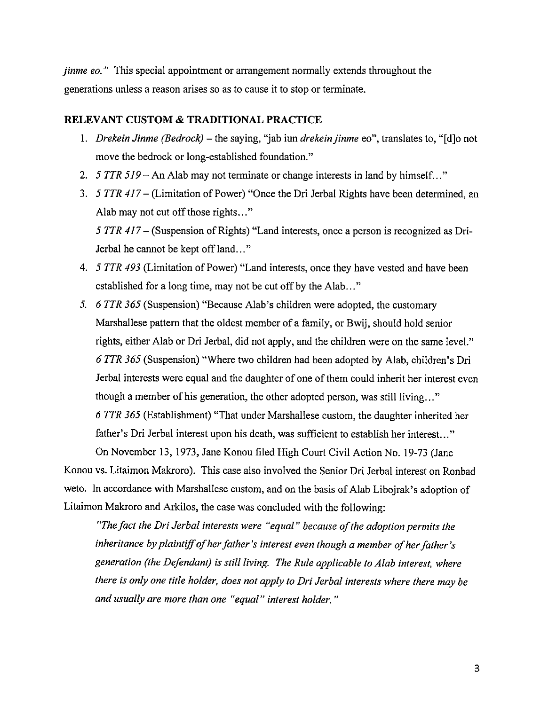jinme eo. " This special appointment or arrangement normally extends throughout the generations unless a reason arises so as to cause it to stop or terminate.

#### RELEVANT CUSTOM & TRADITIONAL PRACTICE

- 1. Drekein Jinme (Bedrock) the saying, "jab iun drekein jinme eo", translates to, "[d]o not move the bedrock or long-established foundation."
- 2. 5 TTR 519 An Alab may not terminate or change interests in land by himself..."
- 3. 5 TTR 417 (Limitation of Power) "Once the Dri Jerbal Rights have been determined, an Alab may not cut off those rights..." 5 TTR 417 - (Suspension of Rights) "Land interests, once a person is recognized as Dri-Jerbal he cannot be kept off land..."
- 4. 5 TTR 493 (Limitation of Power) "Land interests, once they have vested and have been established for a long time, may not be cut off by the Alab..."
- 5. 6 TTR 365 (Suspension) "Because Alab's children were adopted, the customary Marshallese pattern that the oldest member of a family, or Bwij, should hold senior rights, either Alab or Dri Jerbal, did not apply, and the children were on the same level." 6 TTR 365 (Suspension) "Where two children had been adopted by Alab, children's Dri Jerbal interests were equal and the daughter of one of them could inherit her interest even though a member of his generation, the other adopted person, was still living..." 6 TTR 365 (Establishment) "That under Marshallese custom, the daughter inherited her father's Dri Jerbal interest upon his death, was sufficient to establish her interest..."

On November 13, 1973, Jane Konou filed High Court Civil Action No. 19-73 (Jane Konou vs. Litaimon Makroro). This case also involved the Senior Dri Jerbal interest on Ronbad weto. In accordance with Marshallese custom, and on the basis of Alab Libojrak's adoption of Litaimon Makroro and Arkilos, the case was concluded with the following:

"The fact the Dri Jerbal interests were "equal" because of the adoption permits the inheritance by plaintiff of her father's interest even though a member of her father's generation (the Defendant) is still living. The Rule applicable to Alab interest, where there is only one title holder, does not apply to Dri Jerbal interests where there may be and usually are more than one "equal" interest holder. "